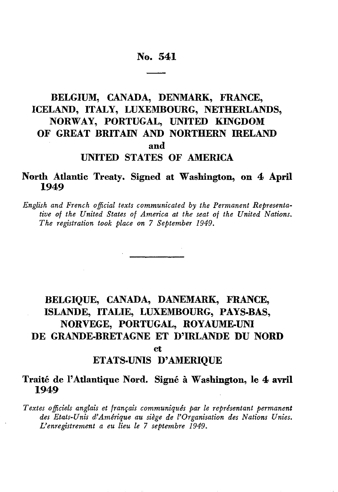# No. 541

# **BELGIUM, CANADA, DENMARK, FRANCE, ICELAND, ITALY, LUXEMBOURG, NETHERLANDS, NORWAY, PORTUGAL, UNITED KINGDOM OF GREAT BRITAIN AND NORTHERN IRELAND and UNITED STATES OF AMERICA**

# **North Atlantic Treaty. Signed at Washington, on 4 April 1949**

*English and French official texts communicated by the Permanent Representa tive of the United States of America at the seat of the United Nations. The registration took place on 7 September 1949.*

# **BELGIQUE, CANADA, DANEMARK, FRANCE, ISLANDE, ITALIE, LUXEMBOURG, PAYS-BAS, NORVEGE, PORTUGAL, ROYAUME-UNI DE GRANDE-BRETAGNE ET D'IRLANDE DU NORD** et

# ETATS-UNIS D'AMERIQUE

# Traité de l'Atlantique Nord. Signé à Washington, le 4 avril **1949**

*Textes officiels anglais et français communiqués par le représentant permanent des Etats-Unis d'Amérique au siège de l'Organisation des Nations Unies. L'enregistrement a eu lieu le 7 septembre 1949.*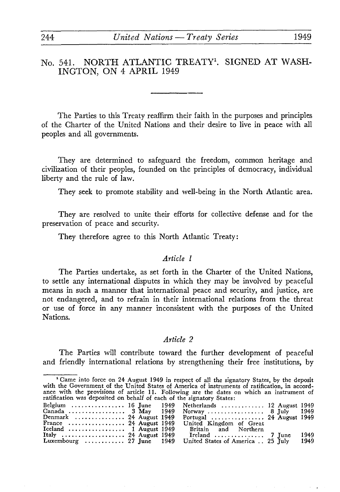# No. 541. NORTH ATLANTIC TREATY<sup>1</sup>, SIGNED AT WASH-**INGTON, ON 4 APRIL** 1949

The Parties to this Treaty reaffirm their faith in the purposes and principles of the Charter of the United Nations and their desire to live in peace with all peoples and all governments.

They are determined to safeguard the freedom, common heritage and civilization of their peoples, founded on the principles of democracy, individual liberty and the rule of law.

They seek to promote stability and well-being in the North Atlantic area.

They are resolved to unite their efforts for collective defense and for the preservation of peace and security.

They therefore agree to this North Atlantic Treaty:

#### *Article 1*

The Parties undertake, as set forth in the Charter of the United Nations, to settle any international disputes in which they may be involved by peaceful means in such a manner that international peace and security, and justice, are not endangered, and to refrain in their international relations from the threat or use of force in any manner inconsistent with the purposes of the United Nations.

#### *Article 2*

The Parties will contribute toward the further development of peaceful and friendly international relations by strengthening their free institutions, by

<sup>&#</sup>x27;Came into force on 24 August 1949 in respect of all the signatory States, by the deposit with the Government of the United States of America of instruments of ratification, in accord ance with the provisions of article 11. Following are the dates on which an instrument of

| ratification was deposited on behalf of each of the signatory States: |  |                                                            |  |      |
|-----------------------------------------------------------------------|--|------------------------------------------------------------|--|------|
|                                                                       |  | Belgium  16 June 1949 Netherlands  12 August 1949          |  |      |
|                                                                       |  | Canada  3 May 1949 Norway  8 July                          |  | 1949 |
| Denmark  24 August 1949                                               |  | Portugal  24 August 1949                                   |  |      |
| France  24 August 1949                                                |  | United Kingdom of Great                                    |  |      |
| Iceland $\ldots \ldots \ldots \ldots \ldots 1$ August 1949            |  | Britain and Northern                                       |  |      |
| Italy  24 August 1949                                                 |  | Ireland  7 June                                            |  | 1949 |
|                                                                       |  | Luxembourg  27 June 1949 United States of America  25 July |  | 1949 |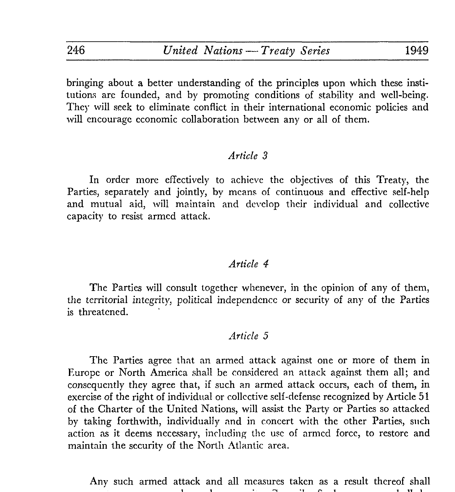bringing about a better understanding of the principles upon which these insti tutions are founded, and by promoting conditions of stability and well-being. They will seek to eliminate conflict in their international economic policies and will encourage economic collaboration between any or all of them.

## *Article 3*

In order more effectively to achieve the objectives of this Treaty, the Parties, separately and jointly, by means of continuous and effective self-help and mutual aid, will maintain and develop their individual and collective capacity to resist armed attack.

# *Article 4*

The Parties will consult together whenever, in the opinion of any of them, the territorial integrity, political independence or security of any of the Parties is threatened.

## *Article 5*

The Parties agree that an armed attack against one or more of them in Europe or North America shall be considered an attack against them all; and consequently they agree that, if such an armed attack occurs, each of them, in exercise of the right of individual or collective self-defense recognized by Article 51 of the Charter of the United Nations, will assist the Party or Parties so attacked by taking forthwith, individually and in concert with the other Parties, such action as it deems necessary, including the use of armed force, to restore and maintain the security of the North Atlantic area.

Any such armed attack and all measures taken as a result thereof shall $\mathbf{1}$   $\mathbf{1}$   $\mathbf{1}$   $\mathbf{1}$   $\mathbf{1}$   $\mathbf{1}$   $\mathbf{1}$   $\mathbf{1}$   $\mathbf{1}$   $\mathbf{1}$   $\mathbf{1}$   $\mathbf{1}$   $\mathbf{1}$   $\mathbf{1}$   $\mathbf{1}$   $\mathbf{1}$   $\mathbf{1}$   $\mathbf{1}$   $\mathbf{1}$   $\mathbf{1}$   $\mathbf{1}$   $\mathbf{1}$   $\mathbf{1}$   $\mathbf{1}$   $\mathbf{$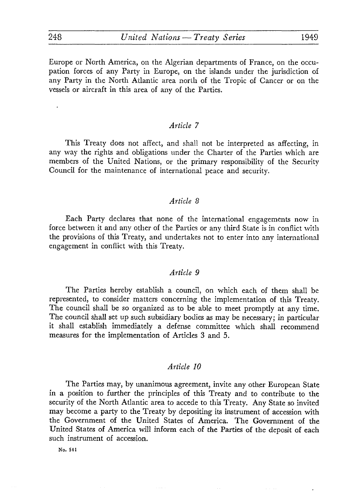Europe or North America, on the Algerian departments of France, on the occu pation forces of any Party in Europe, on the islands under the jurisdiction of any Party in the North Atlantic area north of the Tropic of Cancer or on the vessels or aircraft in this area of any of the Parties.

## *Article 7*

This Treaty does not affect, and shall not be interpreted as affecting, in any way the rights and obligations under the Charter of the Parties which are members of the United Nations, or the primary responsibility of the Security Council for the maintenance of international peace and security.

# *Article 8*

Each Party declares that none of the international engagements now in force between it and any other of the Parties or any third State is in conflict with the provisions of this Treaty, and undertakes not to enter into any international engagement in conflict with this Treaty.

# *Article 9*

The Parties hereby establish a council, on which each of them shall be represented, to consider matters concerning the implementation of this Treaty. The council shall be so organized as to be able to meet promptly at any time. The council shall set up such subsidiary bodies as may be necessary; in particular it shall establish immediately a defense committee which shall recommend measures for the implementation of Articles 3 and 5.

#### *Article 10*

The Parties may, by unanimous agreement, invite any other European State in a position to further the principles of this Treaty and to contribute to the security of the North Atlantic area to accede to this Treaty. Any State so invited may become a party to the Treaty by depositing its instrument of accession with the Government of the United States of America. The Government of the United States of America will inform each of the Parties of the deposit of each such instrument of accession.

No. 541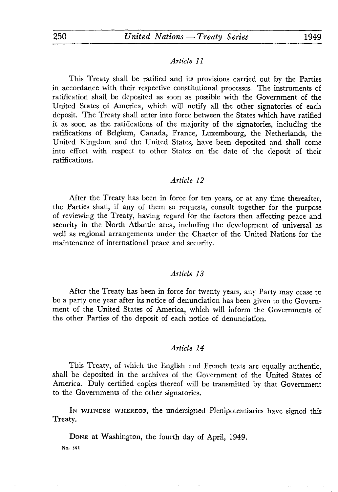## *Article 11*

This Treaty shall be ratified and its provisions carried out by the Parties in accordance with their respective constitutional processes. The instruments of ratification shall be deposited as soon as possible with the Government of the United States of America, which will notify all the other signatories of each deposit. The Treaty shall enter into force between the States which have ratified it as soon as the ratifications of the majority of the signatories, including the ratifications of Belgium, Canada, France, Luxembourg, the Netherlands, the United Kingdom and the United States, have been deposited and shall come into effect with respect to other States on the date of the deposit of their ratifications.

#### *Article 12*

After the Treaty has been in force for ten years, or at any time thereafter, the Parties shall, if any of them so requests, consult together for the purpose of reviewing the Treaty, having regard for the factors then affecting peace and security in the North Atlantic area, including the development of universal as well as regional arrangements under the Charter of the United Nations for the maintenance of international peace and security.

#### *Article 13*

After the Treaty has been in force for twenty years, any Party may cease to be a party one year after its notice of denunciation has been given to the Govern ment of the United States of America, which will inform the Governments of the other Parties of the deposit of each notice of denunciation.

#### *Article 14*

This Treaty, of which the English and French texts arc equally authentic, shall be deposited in the archives of the Government of the United States of America. Duly certified copies thereof will be transmitted by that Government to the Governments of the other signatories.

IN WITNESS WHEREOF, the undersigned Plenipotentiaries have signed this Treaty.

DONE at Washington, the fourth day of April, 1949.

**No. 541**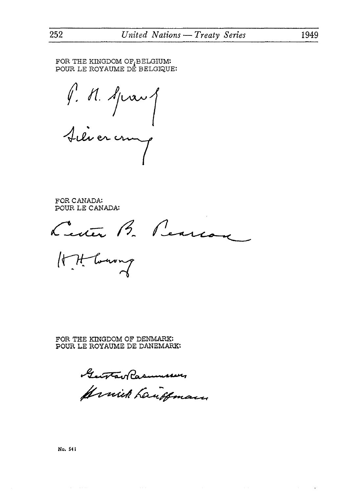FOR THE KINGDOM OF, BELGIUM: POUR LE ROYAUME DE BELGIQUE:

P. N. Sprang Silvercrung

FOR CANADA: POUR LE CANADA:

Letter B. Pearcon

Hit toward

FOR THE KINGDOM OF DENMARK: POUR LE ROYAUME DE DANEMARK:

Gentlav Rasmusser

Armick Laudeman

252

 $\epsilon$ 

No. 541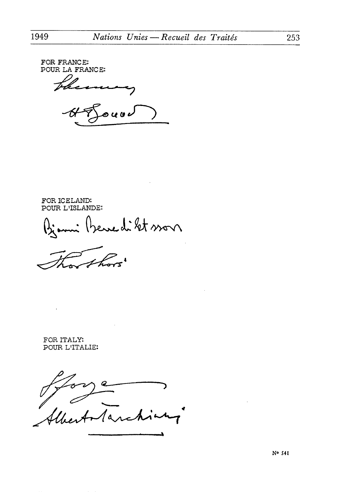FOR FRANCE: POUR LA FRANCE: ہ رو رہ د

FOR ICELAND: POUR L'ISLANDE:

edikt son

FOR ITALY: POUR L'ITALIE:

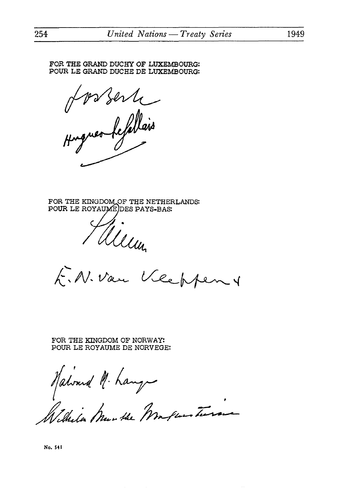FOR THE GRAND DUCHY OF LUXEMBOURG: POUR LE GRAND DUCHE DE LUXEMBOURG:

Hos ser le

FOR THE KINGDOM OF THE NETHERLANDS: POUR LE ROYAUMEJDES PAYS-BAS:



Filleun<br>E.N. Van Veeppen

FOR THE KINGDOM OF NORWAY: POUR LE ROYAUME DE NORVEGE:

Halvard M. hanger<br>Wilhela Munthe Markensteinen